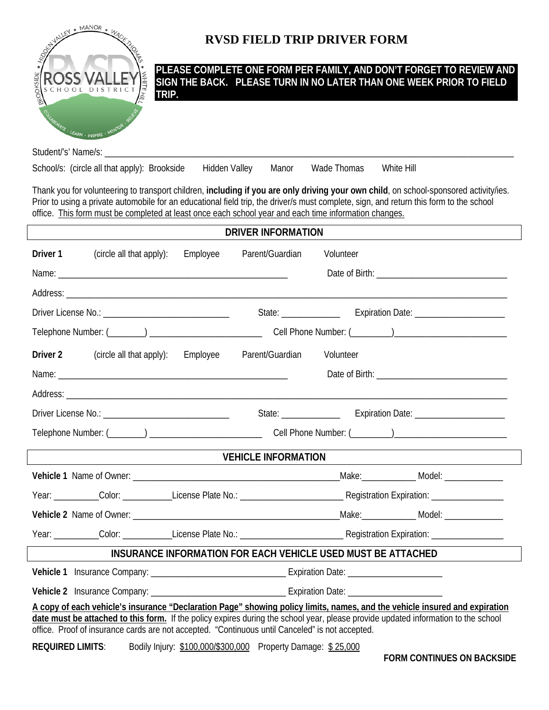

## **RVSD FIELD TRIP DRIVER FORM**

**PLEASE COMPLETE ONE FORM PER FAMILY, AND DON'T FORGET TO REVIEW AND SIGN THE BACK. PLEASE TURN IN NO LATER THAN ONE WEEK PRIOR TO FIELD TRIP.** 

Student/'s' Name/s:

School/s: (circle all that apply): Brookside Hidden Valley Manor Wade Thomas White Hill

Thank you for volunteering to transport children, **including if you are only driving your own child**, on school-sponsored activity/ies. Prior to using a private automobile for an educational field trip, the driver/s must complete, sign, and return this form to the school office. This form must be completed at least once each school year and each time information changes.

| <b>DRIVER INFORMATION</b>                                                                                                                                                                                                                                                                                                                                           |                                   |          |                 |  |           |                                    |  |  |
|---------------------------------------------------------------------------------------------------------------------------------------------------------------------------------------------------------------------------------------------------------------------------------------------------------------------------------------------------------------------|-----------------------------------|----------|-----------------|--|-----------|------------------------------------|--|--|
| Driver 1                                                                                                                                                                                                                                                                                                                                                            | (circle all that apply):          | Employee | Parent/Guardian |  | Volunteer |                                    |  |  |
|                                                                                                                                                                                                                                                                                                                                                                     |                                   |          |                 |  |           | Date of Birth: <b>Example 2018</b> |  |  |
|                                                                                                                                                                                                                                                                                                                                                                     |                                   |          |                 |  |           |                                    |  |  |
|                                                                                                                                                                                                                                                                                                                                                                     |                                   |          |                 |  |           |                                    |  |  |
|                                                                                                                                                                                                                                                                                                                                                                     |                                   |          |                 |  |           |                                    |  |  |
| Driver <sub>2</sub>                                                                                                                                                                                                                                                                                                                                                 | (circle all that apply): Employee |          | Parent/Guardian |  | Volunteer |                                    |  |  |
|                                                                                                                                                                                                                                                                                                                                                                     |                                   |          |                 |  |           |                                    |  |  |
|                                                                                                                                                                                                                                                                                                                                                                     |                                   |          |                 |  |           |                                    |  |  |
|                                                                                                                                                                                                                                                                                                                                                                     |                                   |          |                 |  |           |                                    |  |  |
| Cell Phone Number: (Changel 2014)                                                                                                                                                                                                                                                                                                                                   |                                   |          |                 |  |           |                                    |  |  |
| <b>VEHICLE INFORMATION</b>                                                                                                                                                                                                                                                                                                                                          |                                   |          |                 |  |           |                                    |  |  |
|                                                                                                                                                                                                                                                                                                                                                                     |                                   |          |                 |  |           |                                    |  |  |
|                                                                                                                                                                                                                                                                                                                                                                     |                                   |          |                 |  |           |                                    |  |  |
|                                                                                                                                                                                                                                                                                                                                                                     |                                   |          |                 |  |           |                                    |  |  |
|                                                                                                                                                                                                                                                                                                                                                                     |                                   |          |                 |  |           |                                    |  |  |
| INSURANCE INFORMATION FOR EACH VEHICLE USED MUST BE ATTACHED                                                                                                                                                                                                                                                                                                        |                                   |          |                 |  |           |                                    |  |  |
|                                                                                                                                                                                                                                                                                                                                                                     |                                   |          |                 |  |           |                                    |  |  |
|                                                                                                                                                                                                                                                                                                                                                                     |                                   |          |                 |  |           |                                    |  |  |
| A copy of each vehicle's insurance "Declaration Page" showing policy limits, names, and the vehicle insured and expiration<br>date must be attached to this form. If the policy expires during the school year, please provide updated information to the school<br>office. Proof of insurance cards are not accepted. "Continuous until Canceled" is not accepted. |                                   |          |                 |  |           |                                    |  |  |
| Bodily Injury: \$100,000/\$300,000 Property Damage: \$25,000<br><b>REQUIRED LIMITS:</b>                                                                                                                                                                                                                                                                             |                                   |          |                 |  |           |                                    |  |  |